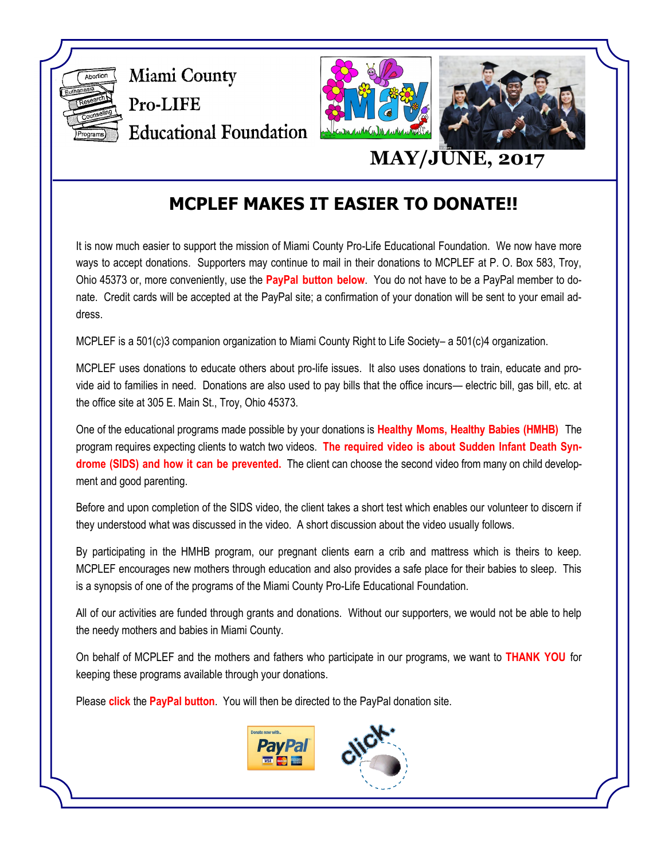

## **MCPLEF MAKES IT EASIER TO DONATE!!**

It is now much easier to support the mission of Miami County Pro-Life Educational Foundation. We now have more ways to accept donations. Supporters may continue to mail in their donations to MCPLEF at P. O. Box 583, Troy, Ohio 45373 or, more conveniently, use the **PayPal button below**. You do not have to be a PayPal member to donate. Credit cards will be accepted at the PayPal site; a confirmation of your donation will be sent to your email address.

MCPLEF is a 501(c)3 companion organization to Miami County Right to Life Society– a 501(c)4 organization.

MCPLEF uses donations to educate others about pro-life issues. It also uses donations to train, educate and provide aid to families in need. Donations are also used to pay bills that the office incurs— electric bill, gas bill, etc. at the office site at 305 E. Main St., Troy, Ohio 45373.

One of the educational programs made possible by your donations is **Healthy Moms, Healthy Babies (HMHB)** The program requires expecting clients to watch two videos. **The required video is about Sudden Infant Death Syndrome (SIDS) and how it can be prevented.** The client can choose the second video from many on child development and good parenting.

Before and upon completion of the SIDS video, the client takes a short test which enables our volunteer to discern if they understood what was discussed in the video. A short discussion about the video usually follows.

By participating in the HMHB program, our pregnant clients earn a crib and mattress which is theirs to keep. MCPLEF encourages new mothers through education and also provides a safe place for their babies to sleep. This is a synopsis of one of the programs of the Miami County Pro-Life Educational Foundation.

All of our activities are funded through grants and donations. Without our supporters, we would not be able to help the needy mothers and babies in Miami County.

On behalf of MCPLEF and the mothers and fathers who participate in our programs, we want to **THANK YOU** for keeping these programs available through your donations.

Please **click** the **PayPal button**. You will then be directed to the PayPal donation site.

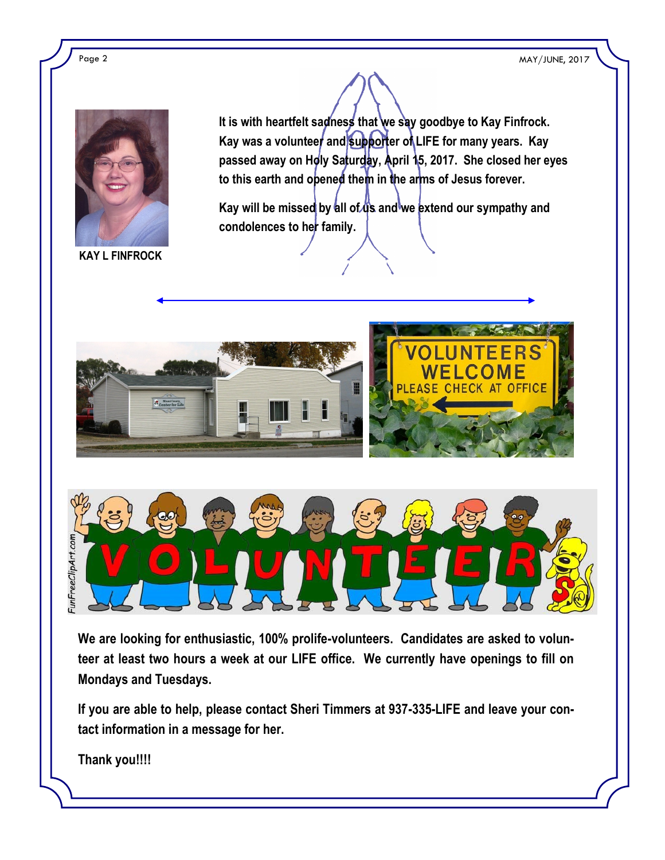Page 2 MAY/JUNE, 2017



**KAY L FINFROCK**

**It is with heartfelt sadness that we say goodbye to Kay Finfrock.**  Kay was a volunteer and supporter of LIFE for many years. Kay **passed away on Holy Saturday, April 15, 2017. She closed her eyes to this earth and opened them in the arms of Jesus forever.** 

Kay will be missed by all of us and we extend our sympathy and **condolences to her family.**





**We are looking for enthusiastic, 100% prolife-volunteers. Candidates are asked to volunteer at least two hours a week at our LIFE office. We currently have openings to fill on Mondays and Tuesdays.** 

**If you are able to help, please contact Sheri Timmers at 937-335-LIFE and leave your contact information in a message for her.**

**Thank you!!!!**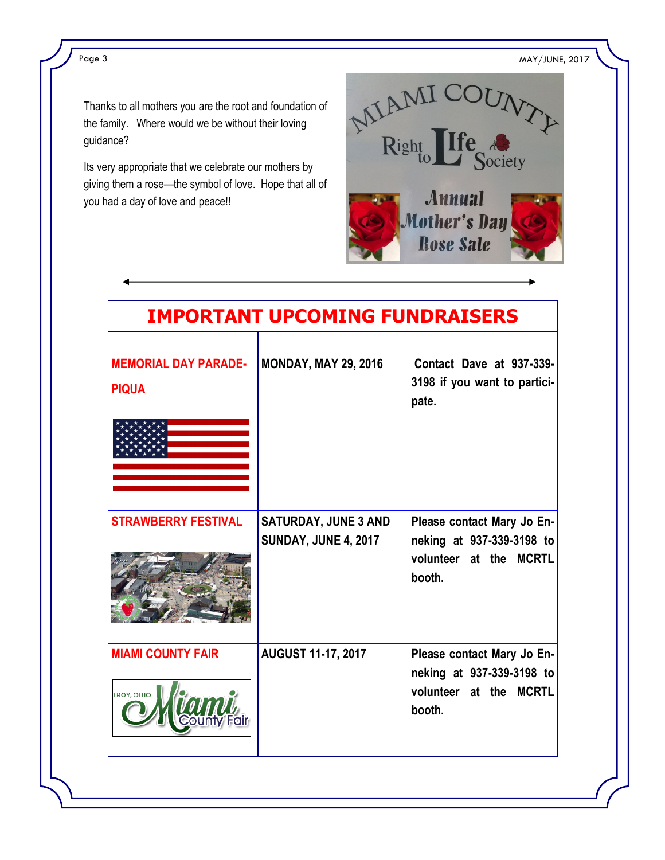Page 3 MAY/JUNE, 2017

Thanks to all mothers you are the root and foundation of the family. Where would we be without their loving guidance?

Its very appropriate that we celebrate our mothers by giving them a rose—the symbol of love. Hope that all of you had a day of love and peace!!



| <b>IMPORTANT UPCOMING FUNDRAISERS</b>       |                                                            |                                                                                             |
|---------------------------------------------|------------------------------------------------------------|---------------------------------------------------------------------------------------------|
| <b>MEMORIAL DAY PARADE-</b><br><b>PIQUA</b> | <b>MONDAY, MAY 29, 2016</b>                                | Contact Dave at 937-339-<br>3198 if you want to partici-<br>pate.                           |
| <b>STRAWBERRY FESTIVAL</b>                  | <b>SATURDAY, JUNE 3 AND</b><br><b>SUNDAY, JUNE 4, 2017</b> | Please contact Mary Jo En-<br>neking at 937-339-3198 to<br>volunteer at the MCRTL<br>booth. |
| <b>MIAMI COUNTY FAIR</b><br>TROY, OHIO      | <b>AUGUST 11-17, 2017</b>                                  | Please contact Mary Jo En-<br>neking at 937-339-3198 to<br>volunteer at the MCRTL<br>booth. |